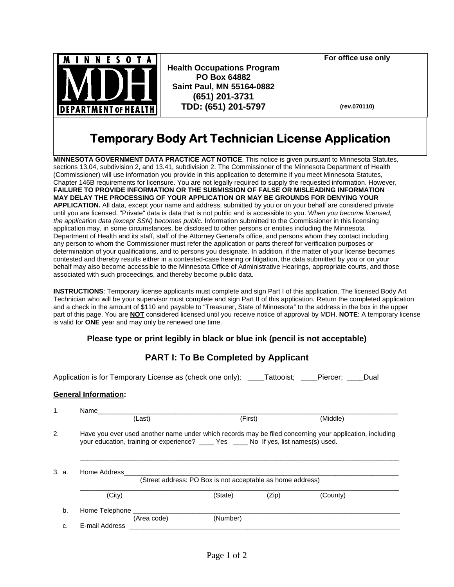

**Health Occupations Program PO Box 64882 Saint Paul, MN 55164-0882 (651) 201-3731 TDD: (651) 201-5797**

**For office use only** 

**(rev.070110)**

# **Temporary Body Art Technician License Application**

**MINNESOTA GOVERNMENT DATA PRACTICE ACT NOTICE**. This notice is given pursuant to Minnesota Statutes, sections 13.04, subdivision 2, and 13.41, subdivision 2. The Commissioner of the Minnesota Department of Health (Commissioner) will use information you provide in this application to determine if you meet Minnesota Statutes, Chapter 146B requirements for licensure. You are not legally required to supply the requested information. However, **FAILURE TO PROVIDE INFORMATION OR THE SUBMISSION OF FALSE OR MISLEADING INFORMATION MAY DELAY THE PROCESSING OF YOUR APPLICATION OR MAY BE GROUNDS FOR DENYING YOUR APPLICATION.** All data, except your name and address, submitted by you or on your behalf are considered private until you are licensed. "Private" data is data that is not public and is accessible to you. *When you become licensed, the application data (except SSN) becomes public.* Information submitted to the Commissioner in this licensing application may, in some circumstances, be disclosed to other persons or entities including the Minnesota Department of Health and its staff, staff of the Attorney General's office, and persons whom they contact including any person to whom the Commissioner must refer the application or parts thereof for verification purposes or determination of your qualifications, and to persons you designate. In addition, if the matter of your license becomes contested and thereby results either in a contested-case hearing or litigation, the data submitted by you or on your behalf may also become accessible to the Minnesota Office of Administrative Hearings, appropriate courts, and those associated with such proceedings, and thereby become public data.

**INSTRUCTIONS**: Temporary license applicants must complete and sign Part I of this application. The licensed Body Art Technician who will be your supervisor must complete and sign Part II of this application. Return the completed application and a check in the amount of \$110 and payable to "Treasurer, State of Minnesota" to the address in the box in the upper part of this page. You are **NOT** considered licensed until you receive notice of approval by MDH. **NOTE**: A temporary license is valid for **ONE** year and may only be renewed one time.

### **Please type or print legibly in black or blue ink (pencil is not acceptable)**

## **PART I: To Be Completed by Applicant**

Application is for Temporary License as (check one only): Tattooist; Piercer; Dual

### **General Information:**

| 1.                                                                                  | Name                                                                                                                                                                                              |             |          |         |          |
|-------------------------------------------------------------------------------------|---------------------------------------------------------------------------------------------------------------------------------------------------------------------------------------------------|-------------|----------|---------|----------|
|                                                                                     |                                                                                                                                                                                                   | (Last)      |          | (First) | (Middle) |
| 2.                                                                                  | Have you ever used another name under which records may be filed concerning your application, including<br>your education, training or experience? _____ Yes _____ No If yes, list names(s) used. |             |          |         |          |
| 3. a.<br>Home Address<br>(Street address: PO Box is not acceptable as home address) |                                                                                                                                                                                                   |             |          |         |          |
|                                                                                     | (City)                                                                                                                                                                                            |             | (State)  | (Zip)   | (County) |
| b.                                                                                  | Home Telephone                                                                                                                                                                                    |             |          |         |          |
| c.                                                                                  | E-mail Address                                                                                                                                                                                    | (Area code) | (Number) |         |          |